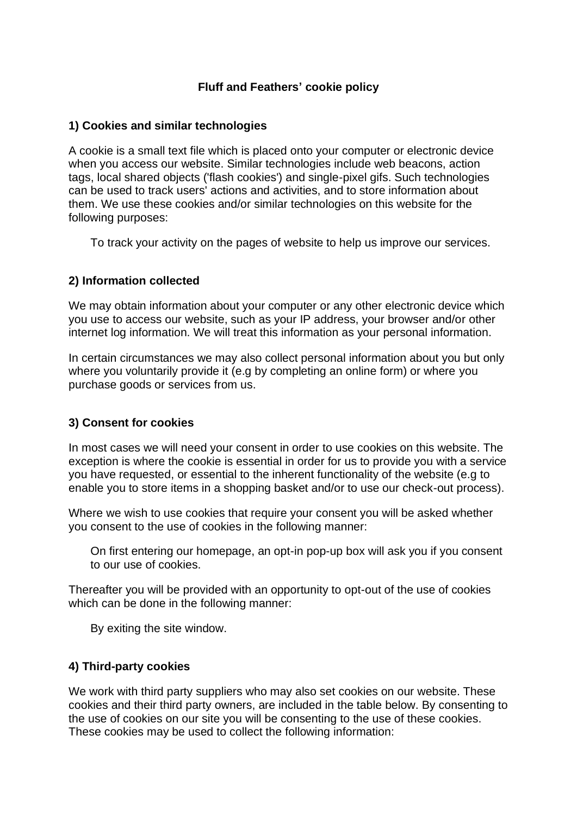## **Fluff and Feathers' cookie policy**

#### **1) Cookies and similar technologies**

A cookie is a small text file which is placed onto your computer or electronic device when you access our website. Similar technologies include web beacons, action tags, local shared objects ('flash cookies') and single-pixel gifs. Such technologies can be used to track users' actions and activities, and to store information about them. We use these cookies and/or similar technologies on this website for the following purposes:

To track your activity on the pages of website to help us improve our services.

#### **2) Information collected**

We may obtain information about your computer or any other electronic device which you use to access our website, such as your IP address, your browser and/or other internet log information. We will treat this information as your personal information.

In certain circumstances we may also collect personal information about you but only where you voluntarily provide it (e.g by completing an online form) or where you purchase goods or services from us.

#### **3) Consent for cookies**

In most cases we will need your consent in order to use cookies on this website. The exception is where the cookie is essential in order for us to provide you with a service you have requested, or essential to the inherent functionality of the website (e.g to enable you to store items in a shopping basket and/or to use our check-out process).

Where we wish to use cookies that require your consent you will be asked whether you consent to the use of cookies in the following manner:

On first entering our homepage, an opt-in pop-up box will ask you if you consent to our use of cookies.

Thereafter you will be provided with an opportunity to opt-out of the use of cookies which can be done in the following manner:

By exiting the site window.

#### **4) Third-party cookies**

We work with third party suppliers who may also set cookies on our website. These cookies and their third party owners, are included in the table below. By consenting to the use of cookies on our site you will be consenting to the use of these cookies. These cookies may be used to collect the following information: